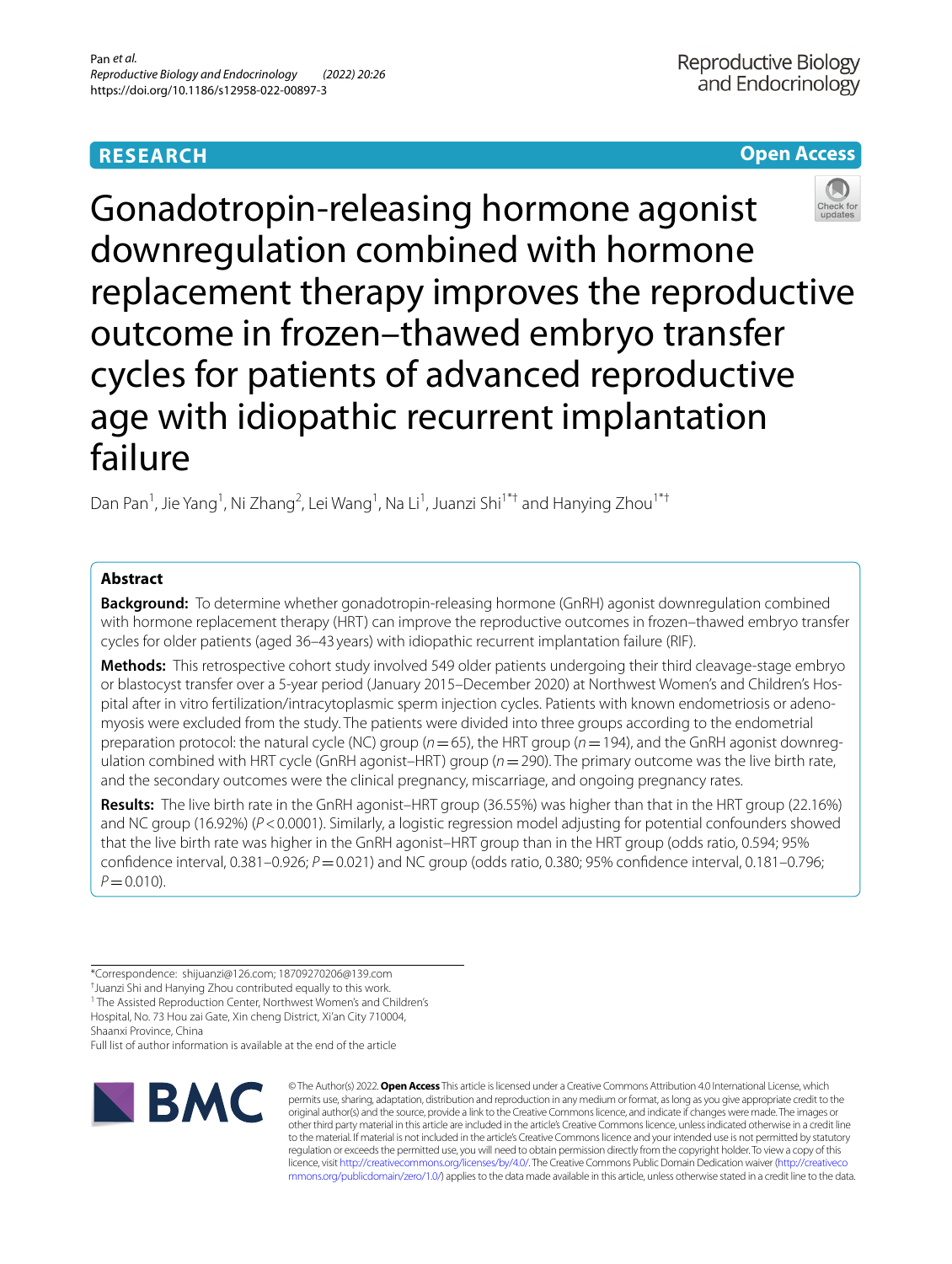# **RESEARCH**

# **Open Access**



Gonadotropin-releasing hormone agonist downregulation combined with hormone replacement therapy improves the reproductive outcome in frozen–thawed embryo transfer cycles for patients of advanced reproductive age with idiopathic recurrent implantation failure

Dan Pan<sup>1</sup>, Jie Yang<sup>1</sup>, Ni Zhang<sup>2</sup>, Lei Wang<sup>1</sup>, Na Li<sup>1</sup>, Juanzi Shi<sup>1\*†</sup> and Hanying Zhou<sup>1\*†</sup>

# **Abstract**

**Background:** To determine whether gonadotropin-releasing hormone (GnRH) agonist downregulation combined with hormone replacement therapy (HRT) can improve the reproductive outcomes in frozen–thawed embryo transfer cycles for older patients (aged 36–43 years) with idiopathic recurrent implantation failure (RIF).

**Methods:** This retrospective cohort study involved 549 older patients undergoing their third cleavage-stage embryo or blastocyst transfer over a 5-year period (January 2015–December 2020) at Northwest Women's and Children's Hospital after in vitro fertilization/intracytoplasmic sperm injection cycles. Patients with known endometriosis or adenomyosis were excluded from the study. The patients were divided into three groups according to the endometrial preparation protocol: the natural cycle (NC) group (*n*=65), the HRT group (*n*=194), and the GnRH agonist downregulation combined with HRT cycle (GnRH agonist–HRT) group (*n*=290). The primary outcome was the live birth rate, and the secondary outcomes were the clinical pregnancy, miscarriage, and ongoing pregnancy rates.

**Results:** The live birth rate in the GnRH agonist–HRT group (36.55%) was higher than that in the HRT group (22.16%) and NC group (16.92%) ( $P < 0.0001$ ). Similarly, a logistic regression model adjusting for potential confounders showed that the live birth rate was higher in the GnRH agonist–HRT group than in the HRT group (odds ratio, 0.594; 95% confdence interval, 0.381–0.926; *P*=0.021) and NC group (odds ratio, 0.380; 95% confdence interval, 0.181–0.796;  $P = 0.010$ .

<sup>1</sup> The Assisted Reproduction Center, Northwest Women's and Children's Hospital, No. 73 Hou zai Gate, Xin cheng District, Xi'an City 710004,

Shaanxi Province, China

Full list of author information is available at the end of the article



© The Author(s) 2022. **Open Access** This article is licensed under a Creative Commons Attribution 4.0 International License, which permits use, sharing, adaptation, distribution and reproduction in any medium or format, as long as you give appropriate credit to the original author(s) and the source, provide a link to the Creative Commons licence, and indicate if changes were made. The images or other third party material in this article are included in the article's Creative Commons licence, unless indicated otherwise in a credit line to the material. If material is not included in the article's Creative Commons licence and your intended use is not permitted by statutory regulation or exceeds the permitted use, you will need to obtain permission directly from the copyright holder. To view a copy of this licence, visit [http://creativecommons.org/licenses/by/4.0/.](http://creativecommons.org/licenses/by/4.0/) The Creative Commons Public Domain Dedication waiver ([http://creativeco](http://creativecommons.org/publicdomain/zero/1.0/) [mmons.org/publicdomain/zero/1.0/](http://creativecommons.org/publicdomain/zero/1.0/)) applies to the data made available in this article, unless otherwise stated in a credit line to the data.

<sup>\*</sup>Correspondence: shijuanzi@126.com; 18709270206@139.com

<sup>†</sup> Juanzi Shi and Hanying Zhou contributed equally to this work.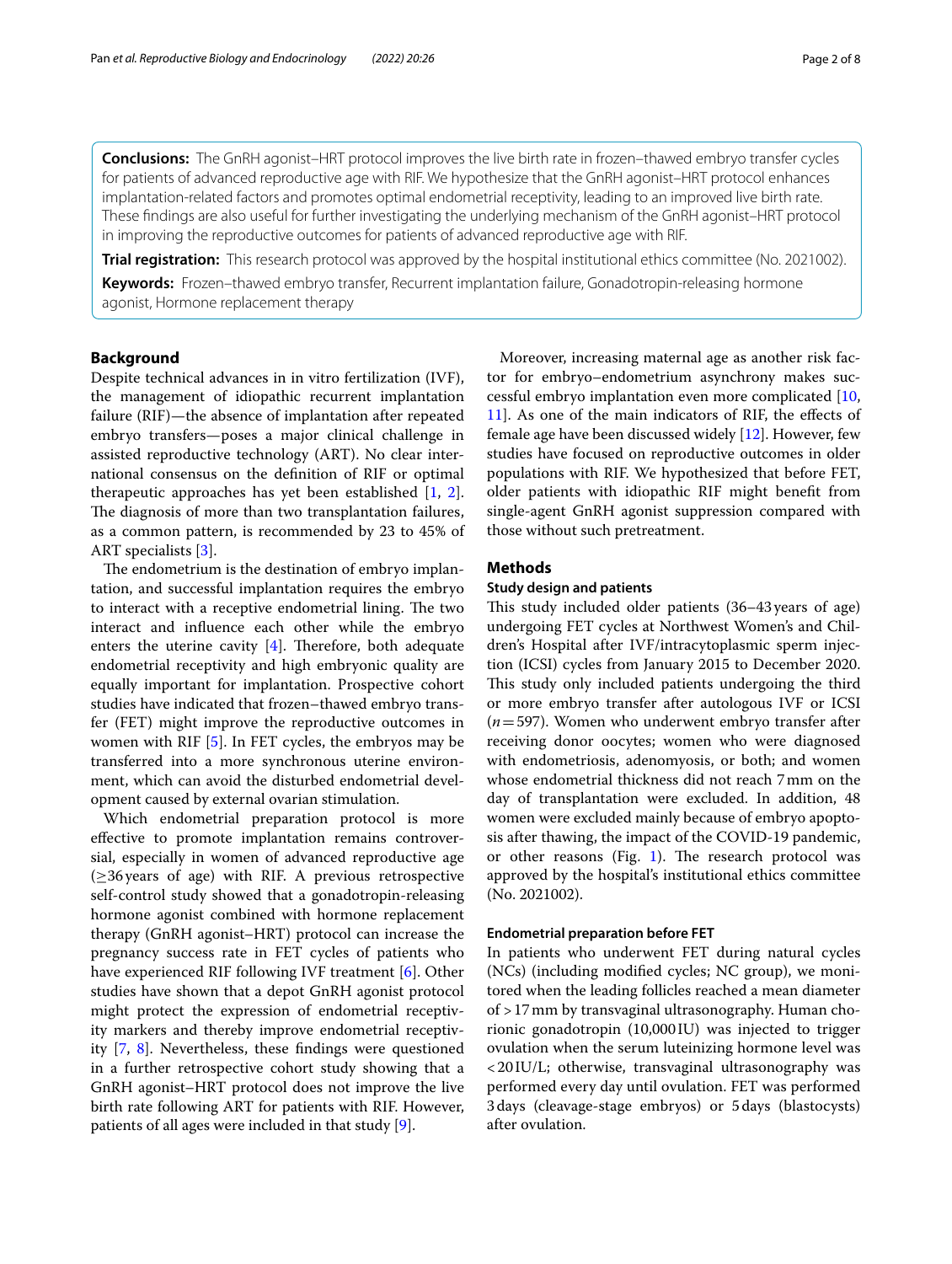**Conclusions:** The GnRH agonist–HRT protocol improves the live birth rate in frozen–thawed embryo transfer cycles for patients of advanced reproductive age with RIF. We hypothesize that the GnRH agonist–HRT protocol enhances implantation-related factors and promotes optimal endometrial receptivity, leading to an improved live birth rate. These fndings are also useful for further investigating the underlying mechanism of the GnRH agonist–HRT protocol in improving the reproductive outcomes for patients of advanced reproductive age with RIF.

**Trial registration:** This research protocol was approved by the hospital institutional ethics committee (No. 2021002).

**Keywords:** Frozen–thawed embryo transfer, Recurrent implantation failure, Gonadotropin-releasing hormone agonist, Hormone replacement therapy

# **Background**

Despite technical advances in in vitro fertilization (IVF), the management of idiopathic recurrent implantation failure (RIF)—the absence of implantation after repeated embryo transfers—poses a major clinical challenge in assisted reproductive technology (ART). No clear international consensus on the defnition of RIF or optimal therapeutic approaches has yet been established [[1,](#page-6-0) [2](#page-6-1)]. The diagnosis of more than two transplantation failures, as a common pattern, is recommended by 23 to 45% of ART specialists [\[3](#page-6-2)].

The endometrium is the destination of embryo implantation, and successful implantation requires the embryo to interact with a receptive endometrial lining. The two interact and infuence each other while the embryo enters the uterine cavity  $[4]$  $[4]$ . Therefore, both adequate endometrial receptivity and high embryonic quality are equally important for implantation. Prospective cohort studies have indicated that frozen–thawed embryo transfer (FET) might improve the reproductive outcomes in women with RIF [[5\]](#page-6-4). In FET cycles, the embryos may be transferred into a more synchronous uterine environment, which can avoid the disturbed endometrial development caused by external ovarian stimulation.

Which endometrial preparation protocol is more efective to promote implantation remains controversial, especially in women of advanced reproductive age (≥36years of age) with RIF. A previous retrospective self-control study showed that a gonadotropin-releasing hormone agonist combined with hormone replacement therapy (GnRH agonist–HRT) protocol can increase the pregnancy success rate in FET cycles of patients who have experienced RIF following IVF treatment [[6\]](#page-6-5). Other studies have shown that a depot GnRH agonist protocol might protect the expression of endometrial receptivity markers and thereby improve endometrial receptivity [\[7](#page-6-6), [8\]](#page-6-7). Nevertheless, these fndings were questioned in a further retrospective cohort study showing that a GnRH agonist–HRT protocol does not improve the live birth rate following ART for patients with RIF. However, patients of all ages were included in that study [[9\]](#page-6-8).

Moreover, increasing maternal age as another risk factor for embryo–endometrium asynchrony makes successful embryo implantation even more complicated [[10](#page-6-9), [11\]](#page-6-10). As one of the main indicators of RIF, the efects of female age have been discussed widely [[12\]](#page-6-11). However, few studies have focused on reproductive outcomes in older populations with RIF. We hypothesized that before FET, older patients with idiopathic RIF might beneft from single-agent GnRH agonist suppression compared with those without such pretreatment.

# **Methods**

# **Study design and patients**

This study included older patients (36-43 years of age) undergoing FET cycles at Northwest Women's and Children's Hospital after IVF/intracytoplasmic sperm injection (ICSI) cycles from January 2015 to December 2020. This study only included patients undergoing the third or more embryo transfer after autologous IVF or ICSI (*n*=597). Women who underwent embryo transfer after receiving donor oocytes; women who were diagnosed with endometriosis, adenomyosis, or both; and women whose endometrial thickness did not reach 7mm on the day of transplantation were excluded. In addition, 48 women were excluded mainly because of embryo apoptosis after thawing, the impact of the COVID-19 pandemic, or other reasons (Fig. [1](#page-2-0)). The research protocol was approved by the hospital's institutional ethics committee (No. 2021002).

### **Endometrial preparation before FET**

In patients who underwent FET during natural cycles (NCs) (including modifed cycles; NC group), we monitored when the leading follicles reached a mean diameter of >17mm by transvaginal ultrasonography. Human chorionic gonadotropin (10,000 IU) was injected to trigger ovulation when the serum luteinizing hormone level was <20IU/L; otherwise, transvaginal ultrasonography was performed every day until ovulation. FET was performed 3days (cleavage-stage embryos) or 5days (blastocysts) after ovulation.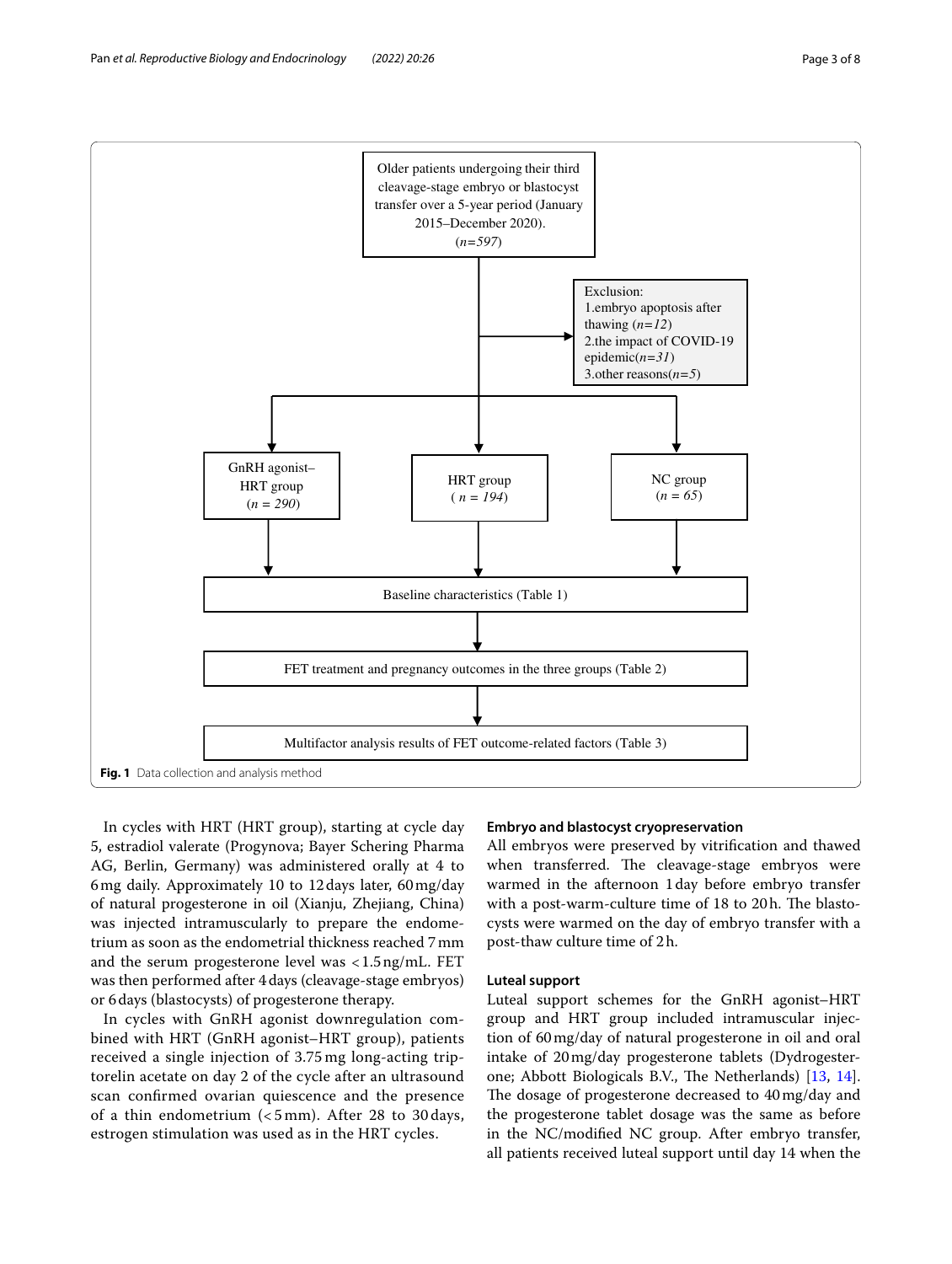

<span id="page-2-0"></span>In cycles with HRT (HRT group), starting at cycle day 5, estradiol valerate (Progynova; Bayer Schering Pharma AG, Berlin, Germany) was administered orally at 4 to 6mg daily. Approximately 10 to 12days later, 60mg/day of natural progesterone in oil (Xianju, Zhejiang, China) was injected intramuscularly to prepare the endometrium as soon as the endometrial thickness reached 7mm and the serum progesterone level was <1.5ng/mL. FET was then performed after 4days (cleavage-stage embryos) or 6days (blastocysts) of progesterone therapy.

In cycles with GnRH agonist downregulation combined with HRT (GnRH agonist–HRT group), patients received a single injection of 3.75 mg long-acting triptorelin acetate on day 2 of the cycle after an ultrasound scan confrmed ovarian quiescence and the presence of a thin endometrium (< 5 mm). After 28 to 30 days, estrogen stimulation was used as in the HRT cycles.

# **Embryo and blastocyst cryopreservation**

All embryos were preserved by vitrifcation and thawed when transferred. The cleavage-stage embryos were warmed in the afternoon 1day before embryo transfer with a post-warm-culture time of 18 to 20h. The blastocysts were warmed on the day of embryo transfer with a post-thaw culture time of 2h.

### **Luteal support**

Luteal support schemes for the GnRH agonist–HRT group and HRT group included intramuscular injection of 60mg/day of natural progesterone in oil and oral intake of 20mg/day progesterone tablets (Dydrogester-one; Abbott Biologicals B.V., The Netherlands) [[13](#page-6-12), [14](#page-6-13)]. The dosage of progesterone decreased to 40 mg/day and the progesterone tablet dosage was the same as before in the NC/modifed NC group. After embryo transfer, all patients received luteal support until day 14 when the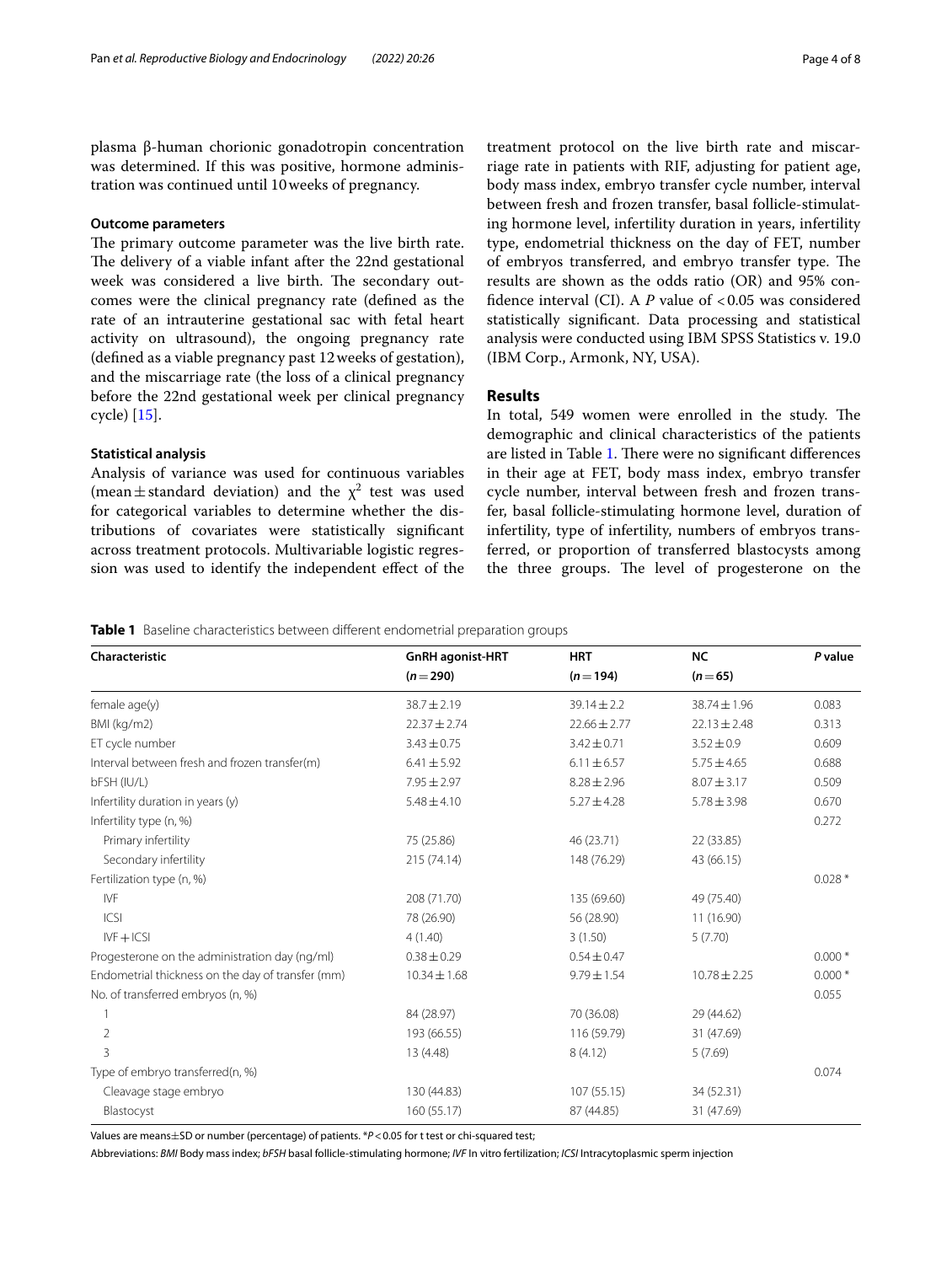plasma β-human chorionic gonadotropin concentration was determined. If this was positive, hormone administration was continued until 10weeks of pregnancy.

# **Outcome parameters**

The primary outcome parameter was the live birth rate. The delivery of a viable infant after the 22nd gestational week was considered a live birth. The secondary outcomes were the clinical pregnancy rate (defned as the rate of an intrauterine gestational sac with fetal heart activity on ultrasound), the ongoing pregnancy rate (defned as a viable pregnancy past 12weeks of gestation), and the miscarriage rate (the loss of a clinical pregnancy before the 22nd gestational week per clinical pregnancy cycle) [[15\]](#page-6-14).

### **Statistical analysis**

Analysis of variance was used for continuous variables (mean  $\pm$  standard deviation) and the  $\chi^2$  test was used for categorical variables to determine whether the distributions of covariates were statistically signifcant across treatment protocols. Multivariable logistic regression was used to identify the independent effect of the

treatment protocol on the live birth rate and miscarriage rate in patients with RIF, adjusting for patient age, body mass index, embryo transfer cycle number, interval between fresh and frozen transfer, basal follicle-stimulating hormone level, infertility duration in years, infertility type, endometrial thickness on the day of FET, number of embryos transferred, and embryo transfer type. The results are shown as the odds ratio (OR) and 95% confidence interval (CI). A *P* value of <0.05 was considered statistically signifcant. Data processing and statistical analysis were conducted using IBM SPSS Statistics v. 19.0 (IBM Corp., Armonk, NY, USA).

# **Results**

In total, 549 women were enrolled in the study. The demographic and clinical characteristics of the patients are listed in Table [1](#page-3-0). There were no significant differences in their age at FET, body mass index, embryo transfer cycle number, interval between fresh and frozen transfer, basal follicle-stimulating hormone level, duration of infertility, type of infertility, numbers of embryos transferred, or proportion of transferred blastocysts among the three groups. The level of progesterone on the

<span id="page-3-0"></span>**Table 1** Baseline characteristics between different endometrial preparation groups

| Characteristic                                    | <b>GnRH</b> agonist-HRT | <b>HRT</b>       | <b>NC</b>        | P value  |
|---------------------------------------------------|-------------------------|------------------|------------------|----------|
|                                                   | $(n=290)$               | $(n=194)$        | $(n=65)$         |          |
| female age(y)                                     | $38.7 \pm 2.19$         | $39.14 \pm 2.2$  | 38.74 ± 1.96     | 0.083    |
| BMI (kg/m2)                                       | $22.37 \pm 2.74$        | $22.66 \pm 2.77$ | $22.13 \pm 2.48$ | 0.313    |
| ET cycle number                                   | $3.43 \pm 0.75$         | $3.42 \pm 0.71$  | $3.52 \pm 0.9$   | 0.609    |
| Interval between fresh and frozen transfer(m)     | $6.41 \pm 5.92$         | $6.11 \pm 6.57$  | $5.75 \pm 4.65$  | 0.688    |
| bFSH (IU/L)                                       | $7.95 \pm 2.97$         | $8.28 \pm 2.96$  | $8.07 \pm 3.17$  | 0.509    |
| Infertility duration in years (y)                 | $5.48 \pm 4.10$         | $5.27 \pm 4.28$  | $5.78 \pm 3.98$  | 0.670    |
| Infertility type (n, %)                           |                         |                  |                  | 0.272    |
| Primary infertility                               | 75 (25.86)              | 46 (23.71)       | 22 (33.85)       |          |
| Secondary infertility                             | 215 (74.14)             | 148 (76.29)      | 43 (66.15)       |          |
| Fertilization type (n, %)                         |                         |                  |                  | $0.028*$ |
| <b>IVF</b>                                        | 208 (71.70)             | 135 (69.60)      | 49 (75.40)       |          |
| ICSI                                              | 78 (26.90)              | 56 (28.90)       | 11 (16.90)       |          |
| $IVF + ICSI$                                      | 4(1.40)                 | 3(1.50)          | 5(7.70)          |          |
| Progesterone on the administration day (ng/ml)    | $0.38 \pm 0.29$         | $0.54 \pm 0.47$  |                  | $0.000*$ |
| Endometrial thickness on the day of transfer (mm) | $10.34 \pm 1.68$        | $9.79 \pm 1.54$  | $10.78 \pm 2.25$ | $0.000*$ |
| No. of transferred embryos (n, %)                 |                         |                  |                  | 0.055    |
|                                                   | 84 (28.97)              | 70 (36.08)       | 29 (44.62)       |          |
| 2                                                 | 193 (66.55)             | 116 (59.79)      | 31 (47.69)       |          |
| 3                                                 | 13 (4.48)               | 8(4.12)          | 5(7.69)          |          |
| Type of embryo transferred(n, %)                  |                         |                  |                  | 0.074    |
| Cleavage stage embryo                             | 130 (44.83)             | 107 (55.15)      | 34 (52.31)       |          |
| Blastocyst                                        | 160 (55.17)             | 87 (44.85)       | 31 (47.69)       |          |

Values are means±SD or number (percentage) of patients. \**P*<0.05 for t test or chi-squared test;

Abbreviations: *BMI* Body mass index; *bFSH* basal follicle-stimulating hormone; *IVF* In vitro fertilization; *ICSI* Intracytoplasmic sperm injection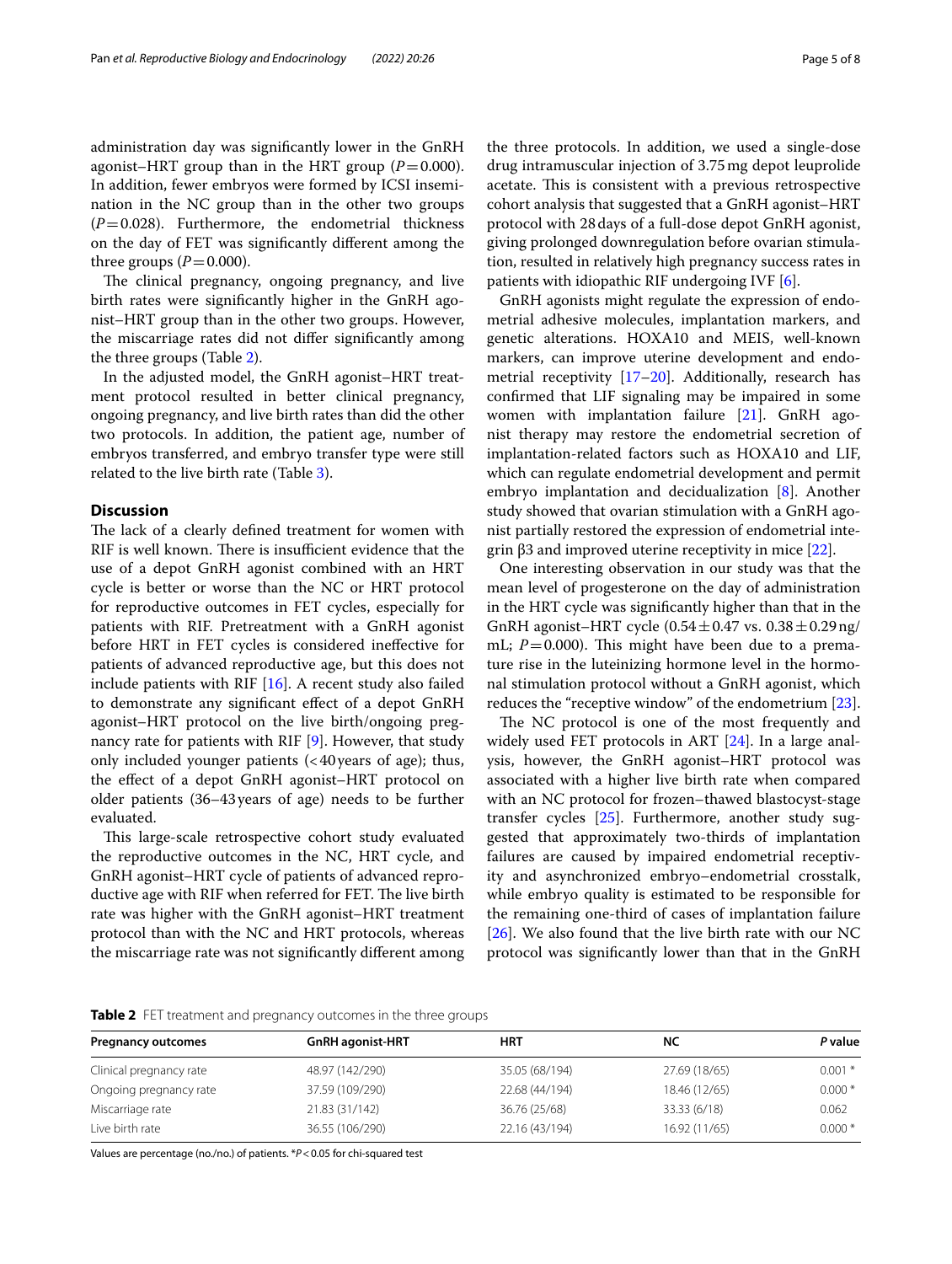administration day was signifcantly lower in the GnRH agonist–HRT group than in the HRT group  $(P=0.000)$ . In addition, fewer embryos were formed by ICSI insemination in the NC group than in the other two groups  $(P=0.028)$ . Furthermore, the endometrial thickness on the day of FET was signifcantly diferent among the three groups  $(P=0.000)$ .

The clinical pregnancy, ongoing pregnancy, and live birth rates were signifcantly higher in the GnRH agonist–HRT group than in the other two groups. However, the miscarriage rates did not difer signifcantly among the three groups (Table [2\)](#page-4-0).

In the adjusted model, the GnRH agonist–HRT treatment protocol resulted in better clinical pregnancy, ongoing pregnancy, and live birth rates than did the other two protocols. In addition, the patient age, number of embryos transferred, and embryo transfer type were still related to the live birth rate (Table [3](#page-5-0)).

# **Discussion**

The lack of a clearly defined treatment for women with RIF is well known. There is insufficient evidence that the use of a depot GnRH agonist combined with an HRT cycle is better or worse than the NC or HRT protocol for reproductive outcomes in FET cycles, especially for patients with RIF. Pretreatment with a GnRH agonist before HRT in FET cycles is considered inefective for patients of advanced reproductive age, but this does not include patients with RIF  $[16]$  $[16]$ . A recent study also failed to demonstrate any signifcant efect of a depot GnRH agonist–HRT protocol on the live birth/ongoing pregnancy rate for patients with RIF [[9\]](#page-6-8). However, that study only included younger patients  $\left($  < 40 years of age); thus, the efect of a depot GnRH agonist–HRT protocol on older patients (36–43years of age) needs to be further evaluated.

This large-scale retrospective cohort study evaluated the reproductive outcomes in the NC, HRT cycle, and GnRH agonist–HRT cycle of patients of advanced reproductive age with RIF when referred for FET. The live birth rate was higher with the GnRH agonist–HRT treatment protocol than with the NC and HRT protocols, whereas the miscarriage rate was not signifcantly diferent among the three protocols. In addition, we used a single-dose drug intramuscular injection of 3.75mg depot leuprolide acetate. This is consistent with a previous retrospective cohort analysis that suggested that a GnRH agonist–HRT protocol with 28days of a full-dose depot GnRH agonist, giving prolonged downregulation before ovarian stimulation, resulted in relatively high pregnancy success rates in patients with idiopathic RIF undergoing IVF [[6\]](#page-6-5).

GnRH agonists might regulate the expression of endometrial adhesive molecules, implantation markers, and genetic alterations. HOXA10 and MEIS, well-known markers, can improve uterine development and endometrial receptivity [\[17](#page-6-16)–[20\]](#page-6-17). Additionally, research has confrmed that LIF signaling may be impaired in some women with implantation failure [\[21](#page-6-18)]. GnRH agonist therapy may restore the endometrial secretion of implantation-related factors such as HOXA10 and LIF, which can regulate endometrial development and permit embryo implantation and decidualization [\[8](#page-6-7)]. Another study showed that ovarian stimulation with a GnRH agonist partially restored the expression of endometrial integrin  $β3$  and improved uterine receptivity in mice  $[22]$ .

One interesting observation in our study was that the mean level of progesterone on the day of administration in the HRT cycle was signifcantly higher than that in the GnRH agonist–HRT cycle  $(0.54 \pm 0.47 \text{ vs. } 0.38 \pm 0.29 \text{ ng}/$ mL;  $P=0.000$ ). This might have been due to a premature rise in the luteinizing hormone level in the hormonal stimulation protocol without a GnRH agonist, which reduces the "receptive window" of the endometrium [\[23](#page-7-0)].

The NC protocol is one of the most frequently and widely used FET protocols in ART [\[24](#page-7-1)]. In a large analysis, however, the GnRH agonist–HRT protocol was associated with a higher live birth rate when compared with an NC protocol for frozen–thawed blastocyst-stage transfer cycles [\[25](#page-7-2)]. Furthermore, another study suggested that approximately two-thirds of implantation failures are caused by impaired endometrial receptivity and asynchronized embryo–endometrial crosstalk, while embryo quality is estimated to be responsible for the remaining one-third of cases of implantation failure [[26\]](#page-7-3). We also found that the live birth rate with our NC protocol was signifcantly lower than that in the GnRH

<span id="page-4-0"></span>**Table 2** FET treatment and pregnancy outcomes in the three groups

| <b>Pregnancy outcomes</b> | <b>GnRH</b> agonist-HRT | HRT            | NC            | P value  |
|---------------------------|-------------------------|----------------|---------------|----------|
| Clinical pregnancy rate   | 48.97 (142/290)         | 35.05 (68/194) | 27.69 (18/65) | $0.001*$ |
| Ongoing pregnancy rate    | 37.59 (109/290)         | 22.68 (44/194) | 18.46 (12/65) | $0.000*$ |
| Miscarriage rate          | 21.83 (31/142)          | 36.76 (25/68)  | 33.33 (6/18)  | 0.062    |
| Live birth rate           | 36.55 (106/290)         | 22.16 (43/194) | 16.92 (11/65) | $0.000*$ |

Values are percentage (no./no.) of patients. \**P*<0.05 for chi-squared test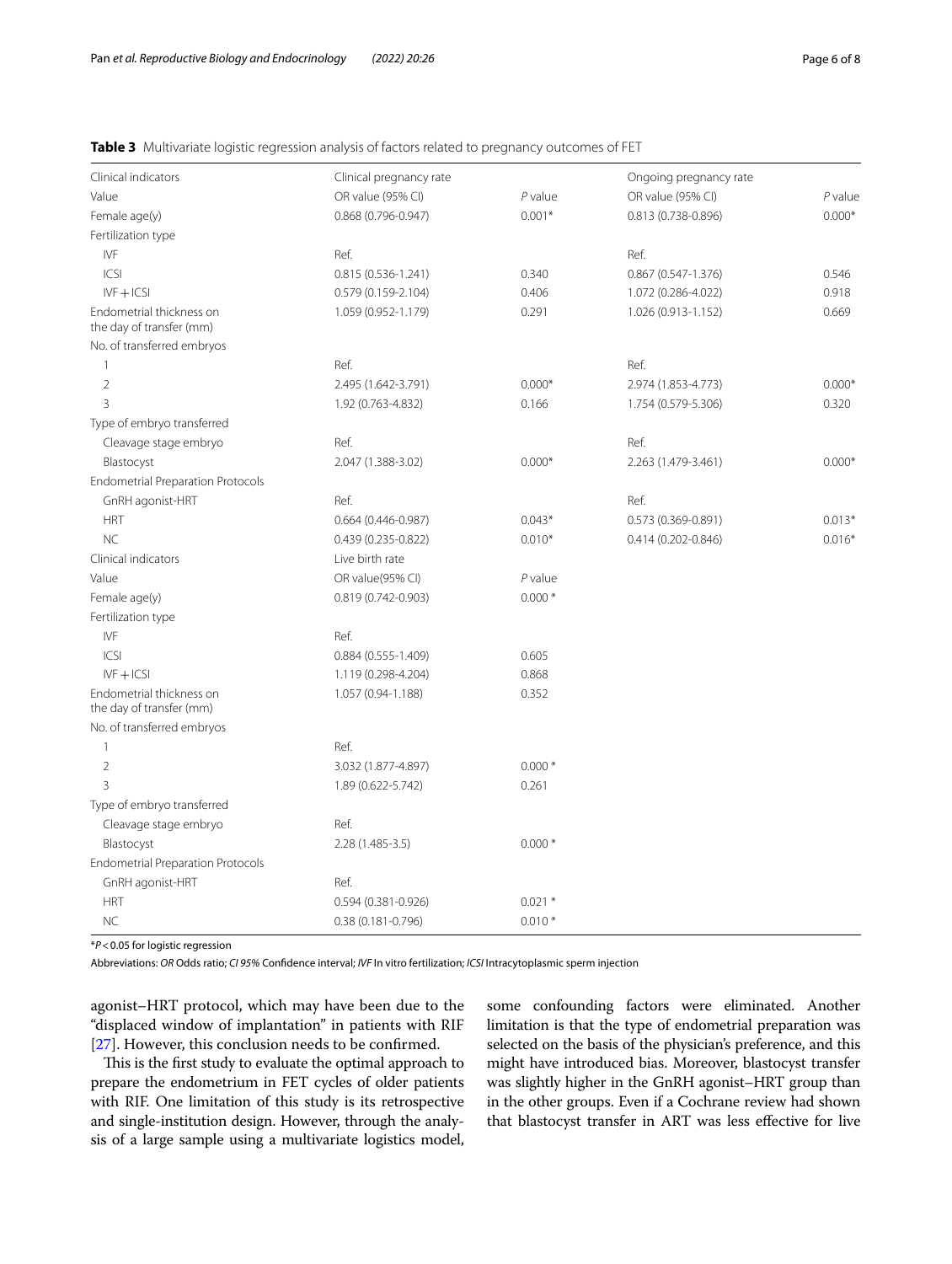## <span id="page-5-0"></span>**Table 3** Multivariate logistic regression analysis of factors related to pregnancy outcomes of FET

| Clinical indicators                                  | Clinical pregnancy rate |           | Ongoing pregnancy rate |           |
|------------------------------------------------------|-------------------------|-----------|------------------------|-----------|
| Value                                                | OR value (95% CI)       | $P$ value | OR value (95% CI)      | $P$ value |
| Female age(y)                                        | 0.868 (0.796-0.947)     | $0.001*$  | 0.813 (0.738-0.896)    | $0.000*$  |
| Fertilization type                                   |                         |           |                        |           |
| IVF                                                  | Ref.                    |           | Ref.                   |           |
| ICSI                                                 | $0.815(0.536 - 1.241)$  | 0.340     | $0.867(0.547 - 1.376)$ | 0.546     |
| $IVF + ICSI$                                         | 0.579 (0.159-2.104)     | 0.406     | 1.072 (0.286-4.022)    | 0.918     |
| Endometrial thickness on<br>the day of transfer (mm) | 1.059 (0.952-1.179)     | 0.291     | 1.026 (0.913-1.152)    | 0.669     |
| No. of transferred embryos                           |                         |           |                        |           |
| $\mathbf{1}$                                         | Ref.                    |           | Ref.                   |           |
| $\overline{2}$                                       | 2.495 (1.642-3.791)     | $0.000*$  | 2.974 (1.853-4.773)    | $0.000*$  |
| 3                                                    | 1.92 (0.763-4.832)      | 0.166     | 1.754 (0.579-5.306)    | 0.320     |
| Type of embryo transferred                           |                         |           |                        |           |
| Cleavage stage embryo                                | Ref.                    |           | Ref.                   |           |
| Blastocyst                                           | 2.047 (1.388-3.02)      | $0.000*$  | 2.263 (1.479-3.461)    | $0.000*$  |
| <b>Endometrial Preparation Protocols</b>             |                         |           |                        |           |
| GnRH agonist-HRT                                     | Ref.                    |           | Ref.                   |           |
| <b>HRT</b>                                           | $0.664(0.446 - 0.987)$  | $0.043*$  | 0.573 (0.369-0.891)    | $0.013*$  |
| <b>NC</b>                                            | $0.439(0.235 - 0.822)$  | $0.010*$  | 0.414 (0.202-0.846)    | $0.016*$  |
| Clinical indicators                                  | Live birth rate         |           |                        |           |
| Value                                                | OR value(95% CI)        | $P$ value |                        |           |
| Female age(y)                                        | 0.819 (0.742-0.903)     | $0.000*$  |                        |           |
| Fertilization type                                   |                         |           |                        |           |
| <b>IVF</b>                                           | Ref.                    |           |                        |           |
| ICSI                                                 | 0.884 (0.555-1.409)     | 0.605     |                        |           |
| $IVF + ICSI$                                         | 1.119 (0.298-4.204)     | 0.868     |                        |           |
| Endometrial thickness on<br>the day of transfer (mm) | 1.057 (0.94-1.188)      | 0.352     |                        |           |
| No. of transferred embryos                           |                         |           |                        |           |
| $\mathbf{1}$                                         | Ref.                    |           |                        |           |
| $\overline{2}$                                       | 3.032 (1.877-4.897)     | $0.000*$  |                        |           |
| 3                                                    | 1.89 (0.622-5.742)      | 0.261     |                        |           |
| Type of embryo transferred                           |                         |           |                        |           |
| Cleavage stage embryo                                | Ref.                    |           |                        |           |
| Blastocyst                                           | 2.28 (1.485-3.5)        | $0.000*$  |                        |           |
| <b>Endometrial Preparation Protocols</b>             |                         |           |                        |           |
| GnRH agonist-HRT                                     | Ref.                    |           |                        |           |
| <b>HRT</b>                                           | 0.594 (0.381-0.926)     | $0.021*$  |                        |           |
| <b>NC</b>                                            | 0.38 (0.181-0.796)      | $0.010*$  |                        |           |

\**P*<0.05 for logistic regression

Abbreviations: *OR* Odds ratio; *CI 95%* Confdence interval; *IVF* In vitro fertilization; *ICSI* Intracytoplasmic sperm injection

agonist–HRT protocol, which may have been due to the "displaced window of implantation" in patients with RIF [[27\]](#page-7-4). However, this conclusion needs to be confrmed.

This is the first study to evaluate the optimal approach to prepare the endometrium in FET cycles of older patients with RIF. One limitation of this study is its retrospective and single-institution design. However, through the analysis of a large sample using a multivariate logistics model, some confounding factors were eliminated. Another limitation is that the type of endometrial preparation was selected on the basis of the physician's preference, and this might have introduced bias. Moreover, blastocyst transfer was slightly higher in the GnRH agonist–HRT group than in the other groups. Even if a Cochrane review had shown that blastocyst transfer in ART was less efective for live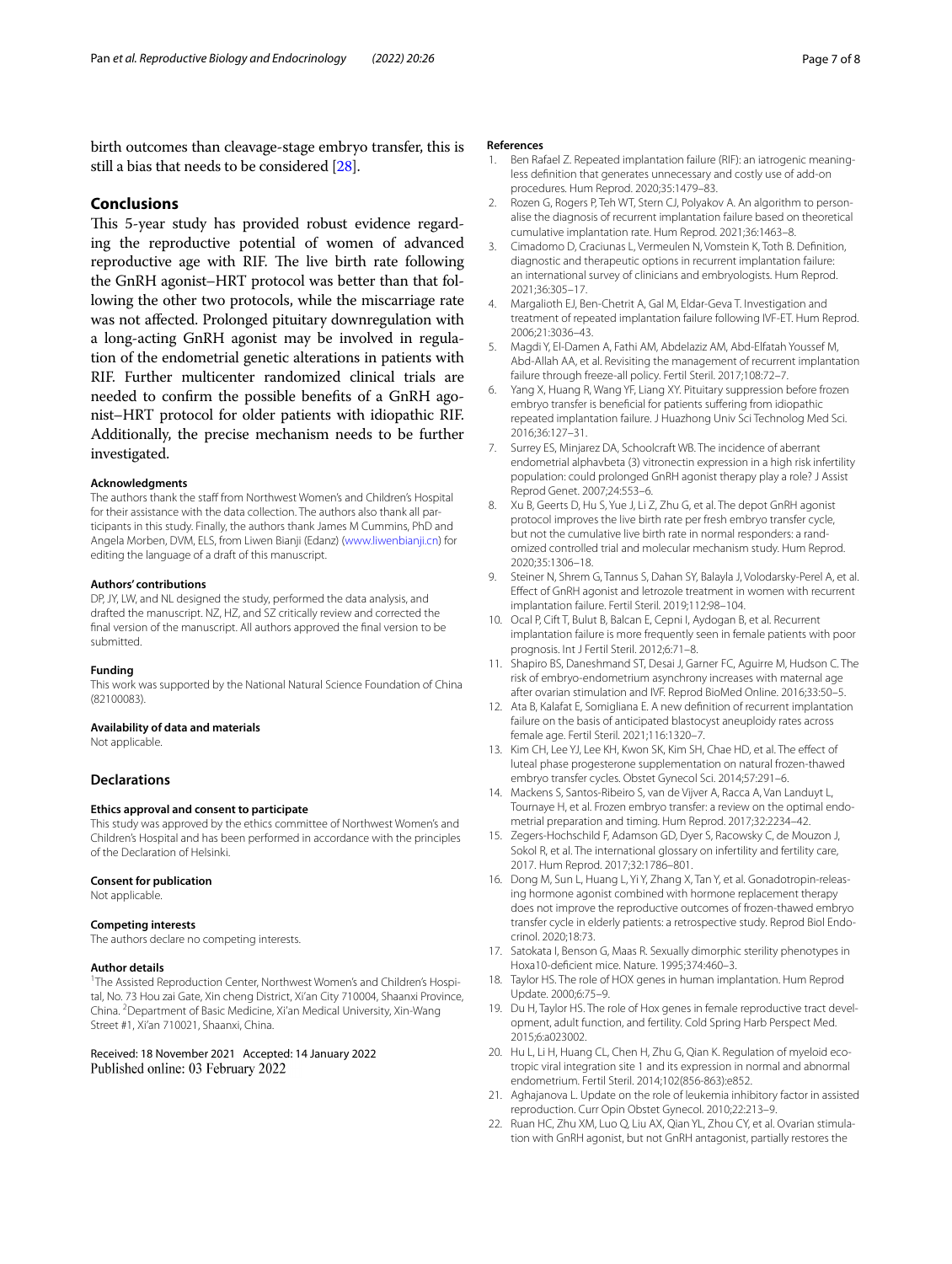birth outcomes than cleavage-stage embryo transfer, this is still a bias that needs to be considered [[28](#page-7-5)].

## **Conclusions**

This 5-year study has provided robust evidence regarding the reproductive potential of women of advanced reproductive age with RIF. The live birth rate following the GnRH agonist–HRT protocol was better than that following the other two protocols, while the miscarriage rate was not afected. Prolonged pituitary downregulation with a long-acting GnRH agonist may be involved in regulation of the endometrial genetic alterations in patients with RIF. Further multicenter randomized clinical trials are needed to confrm the possible benefts of a GnRH agonist–HRT protocol for older patients with idiopathic RIF. Additionally, the precise mechanism needs to be further investigated.

#### **Acknowledgments**

The authors thank the staff from Northwest Women's and Children's Hospital for their assistance with the data collection. The authors also thank all participants in this study. Finally, the authors thank James M Cummins, PhD and Angela Morben, DVM, ELS, from Liwen Bianji (Edanz) ([www.liwenbianji.cn](http://www.liwenbianji.cn)) for editing the language of a draft of this manuscript.

#### **Authors' contributions**

DP, JY, LW, and NL designed the study, performed the data analysis, and drafted the manuscript. NZ, HZ, and SZ critically review and corrected the fnal version of the manuscript. All authors approved the fnal version to be submitted.

### **Funding**

This work was supported by the National Natural Science Foundation of China (82100083).

#### **Availability of data and materials**

Not applicable.

### **Declarations**

### **Ethics approval and consent to participate**

This study was approved by the ethics committee of Northwest Women's and Children's Hospital and has been performed in accordance with the principles of the Declaration of Helsinki.

### **Consent for publication**

Not applicable.

#### **Competing interests**

The authors declare no competing interests.

### **Author details**

<sup>1</sup>The Assisted Reproduction Center, Northwest Women's and Children's Hospital, No. 73 Hou zai Gate, Xin cheng District, Xi'an City 710004, Shaanxi Province, China. <sup>2</sup> Department of Basic Medicine, Xi'an Medical University, Xin-Wang Street #1, Xi'an 710021, Shaanxi, China.

Received: 18 November 2021 Accepted: 14 January 2022 Published online: 03 February 2022

#### **References**

- <span id="page-6-0"></span>1. Ben Rafael Z. Repeated implantation failure (RIF): an iatrogenic meaningless defnition that generates unnecessary and costly use of add-on procedures. Hum Reprod. 2020;35:1479–83.
- <span id="page-6-1"></span>2. Rozen G, Rogers P, Teh WT, Stern CJ, Polyakov A. An algorithm to personalise the diagnosis of recurrent implantation failure based on theoretical cumulative implantation rate. Hum Reprod. 2021;36:1463–8.
- <span id="page-6-2"></span>3. Cimadomo D, Craciunas L, Vermeulen N, Vomstein K, Toth B. Defnition, diagnostic and therapeutic options in recurrent implantation failure: an international survey of clinicians and embryologists. Hum Reprod. 2021;36:305–17.
- <span id="page-6-3"></span>4. Margalioth EJ, Ben-Chetrit A, Gal M, Eldar-Geva T. Investigation and treatment of repeated implantation failure following IVF-ET. Hum Reprod. 2006;21:3036–43.
- <span id="page-6-4"></span>5. Magdi Y, El-Damen A, Fathi AM, Abdelaziz AM, Abd-Elfatah Youssef M, Abd-Allah AA, et al. Revisiting the management of recurrent implantation failure through freeze-all policy. Fertil Steril. 2017;108:72–7.
- <span id="page-6-5"></span>6. Yang X, Huang R, Wang YF, Liang XY. Pituitary suppression before frozen embryo transfer is benefcial for patients sufering from idiopathic repeated implantation failure. J Huazhong Univ Sci Technolog Med Sci. 2016;36:127–31.
- <span id="page-6-6"></span>7. Surrey ES, Minjarez DA, Schoolcraft WB. The incidence of aberrant endometrial alphavbeta (3) vitronectin expression in a high risk infertility population: could prolonged GnRH agonist therapy play a role? J Assist Reprod Genet. 2007;24:553–6.
- <span id="page-6-7"></span>8. Xu B, Geerts D, Hu S, Yue J, Li Z, Zhu G, et al. The depot GnRH agonist protocol improves the live birth rate per fresh embryo transfer cycle, but not the cumulative live birth rate in normal responders: a randomized controlled trial and molecular mechanism study. Hum Reprod. 2020;35:1306–18.
- <span id="page-6-8"></span>9. Steiner N, Shrem G, Tannus S, Dahan SY, Balayla J, Volodarsky-Perel A, et al. Efect of GnRH agonist and letrozole treatment in women with recurrent implantation failure. Fertil Steril. 2019;112:98–104.
- <span id="page-6-9"></span>10. Ocal P, Cift T, Bulut B, Balcan E, Cepni I, Aydogan B, et al. Recurrent implantation failure is more frequently seen in female patients with poor prognosis. Int J Fertil Steril. 2012;6:71–8.
- <span id="page-6-10"></span>11. Shapiro BS, Daneshmand ST, Desai J, Garner FC, Aguirre M, Hudson C. The risk of embryo-endometrium asynchrony increases with maternal age after ovarian stimulation and IVF. Reprod BioMed Online. 2016;33:50–5.
- <span id="page-6-11"></span>12. Ata B, Kalafat E, Somigliana E. A new defnition of recurrent implantation failure on the basis of anticipated blastocyst aneuploidy rates across female age. Fertil Steril. 2021;116:1320–7.
- <span id="page-6-12"></span>13. Kim CH, Lee YJ, Lee KH, Kwon SK, Kim SH, Chae HD, et al. The efect of luteal phase progesterone supplementation on natural frozen-thawed embryo transfer cycles. Obstet Gynecol Sci. 2014;57:291–6.
- <span id="page-6-13"></span>14. Mackens S, Santos-Ribeiro S, van de Vijver A, Racca A, Van Landuyt L, Tournaye H, et al. Frozen embryo transfer: a review on the optimal endometrial preparation and timing. Hum Reprod. 2017;32:2234–42.
- <span id="page-6-14"></span>15. Zegers-Hochschild F, Adamson GD, Dyer S, Racowsky C, de Mouzon J, Sokol R, et al. The international glossary on infertility and fertility care, 2017. Hum Reprod. 2017;32:1786–801.
- <span id="page-6-15"></span>16. Dong M, Sun L, Huang L, Yi Y, Zhang X, Tan Y, et al. Gonadotropin-releasing hormone agonist combined with hormone replacement therapy does not improve the reproductive outcomes of frozen-thawed embryo transfer cycle in elderly patients: a retrospective study. Reprod Biol Endocrinol. 2020;18:73.
- <span id="page-6-16"></span>17. Satokata I, Benson G, Maas R. Sexually dimorphic sterility phenotypes in Hoxa10-defcient mice. Nature. 1995;374:460–3.
- 18. Taylor HS. The role of HOX genes in human implantation. Hum Reprod Update. 2000;6:75–9.
- 19. Du H, Taylor HS. The role of Hox genes in female reproductive tract development, adult function, and fertility. Cold Spring Harb Perspect Med. 2015;6:a023002.
- <span id="page-6-17"></span>20. Hu L, Li H, Huang CL, Chen H, Zhu G, Qian K. Regulation of myeloid ecotropic viral integration site 1 and its expression in normal and abnormal endometrium. Fertil Steril. 2014;102(856-863):e852.
- <span id="page-6-18"></span>21. Aghajanova L. Update on the role of leukemia inhibitory factor in assisted reproduction. Curr Opin Obstet Gynecol. 2010;22:213–9.
- <span id="page-6-19"></span>22. Ruan HC, Zhu XM, Luo Q, Liu AX, Qian YL, Zhou CY, et al. Ovarian stimulation with GnRH agonist, but not GnRH antagonist, partially restores the